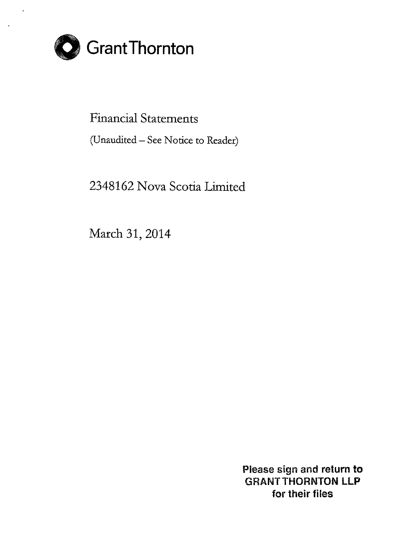

Financial Statements

(Unaudited- See Notice to Reader)

2348162 Nova Scotia Limited

March 31, 2014

Please sign and return to GRANT THORNTON **LLP** for their files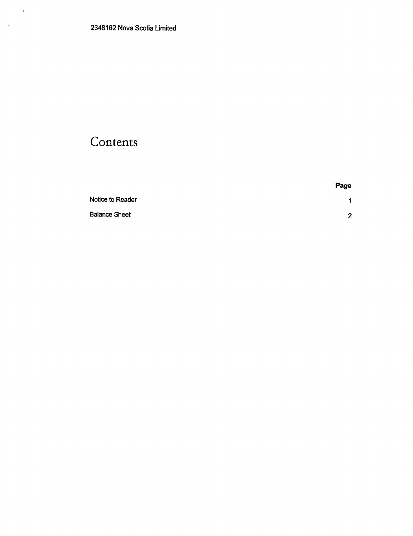$\sim$   $\star$ 

 $\mathcal{L}(\mathcal{L})$ 

## **Contents**

|                      | Page             |
|----------------------|------------------|
| Notice to Reader     | $\overline{1}$   |
| <b>Balance Sheet</b> | $\mathbf{\cdot}$ |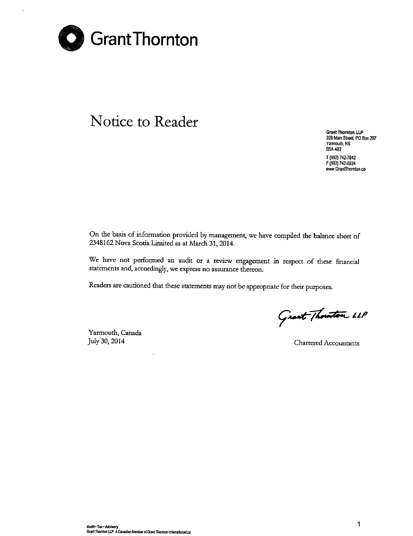

à.

## **Notice to Reader**

**Grant Thornton LLP 328 Main Street. PO Box 297 Yannouth, NS 85A482** T (902) 742-7842 F (902) 742-0224 **www.Grantihomton.ca**

On the basis of information provided by management, we have compiled the balance sheet of 2348162 Nova Scotia Limited as at March 31, 2014.

We have not performed an audit or a review engagement in respect of these financial **statements and, accordingly, we express no assurance thereon.**

Readers are cautioned that these statements may not be appropriate for their purposes.

Grant Thouston LLP

Yarmouth, Canada July 30, 2014 Chartered Accountants